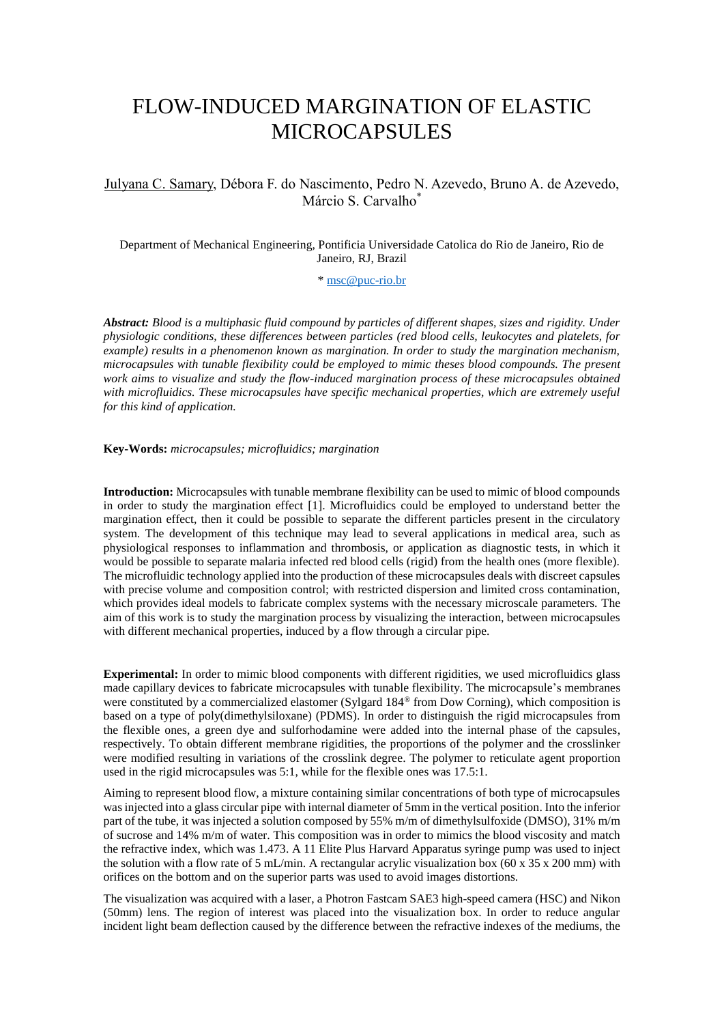## FLOW-INDUCED MARGINATION OF ELASTIC MICROCAPSULES

## Julyana C. Samary, Débora F. do Nascimento, Pedro N. Azevedo, Bruno A. de Azevedo, Márcio S. Carvalho\*

Department of Mechanical Engineering, Pontificia Universidade Catolica do Rio de Janeiro, Rio de Janeiro, RJ, Brazil

\* [msc@puc-rio.br](mailto:msc@puc-rio.br)

*Abstract: Blood is a multiphasic fluid compound by particles of different shapes, sizes and rigidity. Under physiologic conditions, these differences between particles (red blood cells, leukocytes and platelets, for example) results in a phenomenon known as margination. In order to study the margination mechanism, microcapsules with tunable flexibility could be employed to mimic theses blood compounds. The present work aims to visualize and study the flow-induced margination process of these microcapsules obtained*  with microfluidics. These microcapsules have specific mechanical properties, which are extremely useful *for this kind of application.*

**Key-Words:** *microcapsules; microfluidics; margination*

**Introduction:** Microcapsules with tunable membrane flexibility can be used to mimic of blood compounds in order to study the margination effect [1]. Microfluidics could be employed to understand better the margination effect, then it could be possible to separate the different particles present in the circulatory system. The development of this technique may lead to several applications in medical area, such as physiological responses to inflammation and thrombosis, or application as diagnostic tests, in which it would be possible to separate malaria infected red blood cells (rigid) from the health ones (more flexible). The microfluidic technology applied into the production of these microcapsules deals with discreet capsules with precise volume and composition control; with restricted dispersion and limited cross contamination, which provides ideal models to fabricate complex systems with the necessary microscale parameters. The aim of this work is to study the margination process by visualizing the interaction, between microcapsules with different mechanical properties, induced by a flow through a circular pipe.

**Experimental:** In order to mimic blood components with different rigidities, we used microfluidics glass made capillary devices to fabricate microcapsules with tunable flexibility. The microcapsule's membranes were constituted by a commercialized elastomer (Sylgard 184<sup>®</sup> from Dow Corning), which composition is based on a type of poly(dimethylsiloxane) (PDMS). In order to distinguish the rigid microcapsules from the flexible ones, a green dye and sulforhodamine were added into the internal phase of the capsules, respectively. To obtain different membrane rigidities, the proportions of the polymer and the crosslinker were modified resulting in variations of the crosslink degree. The polymer to reticulate agent proportion used in the rigid microcapsules was 5:1, while for the flexible ones was 17.5:1.

Aiming to represent blood flow, a mixture containing similar concentrations of both type of microcapsules was injected into a glass circular pipe with internal diameter of 5mm in the vertical position. Into the inferior part of the tube, it was injected a solution composed by 55% m/m of dimethylsulfoxide (DMSO), 31% m/m of sucrose and 14% m/m of water. This composition was in order to mimics the blood viscosity and match the refractive index, which was 1.473. A 11 Elite Plus Harvard Apparatus syringe pump was used to inject the solution with a flow rate of 5 mL/min. A rectangular acrylic visualization box (60 x 35 x 200 mm) with orifices on the bottom and on the superior parts was used to avoid images distortions.

The visualization was acquired with a laser, a Photron Fastcam SAE3 high-speed camera (HSC) and Nikon (50mm) lens. The region of interest was placed into the visualization box. In order to reduce angular incident light beam deflection caused by the difference between the refractive indexes of the mediums, the